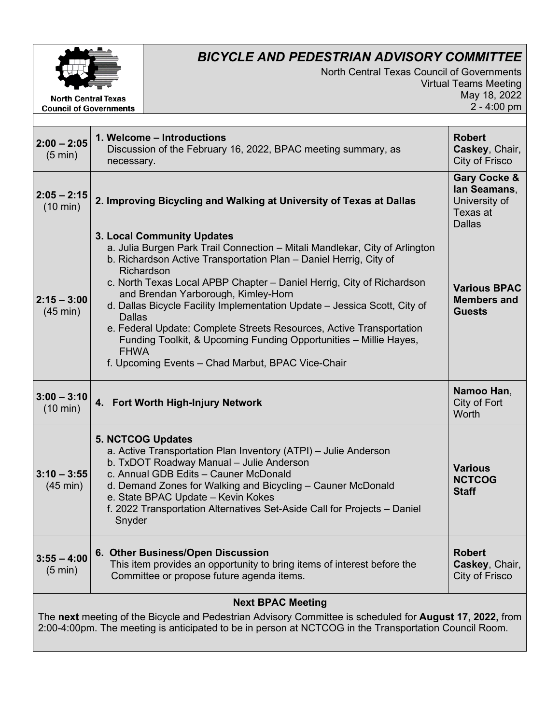

**Council of Governments** 

## *BICYCLE AND PEDESTRIAN ADVISORY COMMITTEE*

North Central Texas Council of Governments Virtual Teams Meeting May 18, 2022 2 - 4:00 pm

| $2:00 - 2:05$<br>$(5 \text{ min})$  | 1. Welcome - Introductions<br>Discussion of the February 16, 2022, BPAC meeting summary, as<br>necessary.                                                                                                                                                                                                                                                                                                                                                                                                                                                                                                                   | <b>Robert</b><br>Caskey, Chair,<br>City of Frisco                                     |
|-------------------------------------|-----------------------------------------------------------------------------------------------------------------------------------------------------------------------------------------------------------------------------------------------------------------------------------------------------------------------------------------------------------------------------------------------------------------------------------------------------------------------------------------------------------------------------------------------------------------------------------------------------------------------------|---------------------------------------------------------------------------------------|
| $2:05 - 2:15$<br>$(10 \text{ min})$ | 2. Improving Bicycling and Walking at University of Texas at Dallas                                                                                                                                                                                                                                                                                                                                                                                                                                                                                                                                                         | <b>Gary Cocke &amp;</b><br>lan Seamans.<br>University of<br>Texas at<br><b>Dallas</b> |
| $2:15 - 3:00$<br>$(45 \text{ min})$ | 3. Local Community Updates<br>a. Julia Burgen Park Trail Connection – Mitali Mandlekar, City of Arlington<br>b. Richardson Active Transportation Plan - Daniel Herrig, City of<br>Richardson<br>c. North Texas Local APBP Chapter – Daniel Herrig, City of Richardson<br>and Brendan Yarborough, Kimley-Horn<br>d. Dallas Bicycle Facility Implementation Update - Jessica Scott, City of<br><b>Dallas</b><br>e. Federal Update: Complete Streets Resources, Active Transportation<br>Funding Toolkit, & Upcoming Funding Opportunities - Millie Hayes,<br><b>FHWA</b><br>f. Upcoming Events - Chad Marbut, BPAC Vice-Chair | <b>Various BPAC</b><br><b>Members and</b><br><b>Guests</b>                            |
| $3:00 - 3:10$<br>$(10 \text{ min})$ | 4. Fort Worth High-Injury Network                                                                                                                                                                                                                                                                                                                                                                                                                                                                                                                                                                                           | Namoo Han,<br>City of Fort<br>Worth                                                   |
|                                     |                                                                                                                                                                                                                                                                                                                                                                                                                                                                                                                                                                                                                             |                                                                                       |
| $3:10 - 3:55$<br>$(45 \text{ min})$ | <b>5. NCTCOG Updates</b><br>a. Active Transportation Plan Inventory (ATPI) - Julie Anderson<br>b. TxDOT Roadway Manual - Julie Anderson<br>c. Annual GDB Edits - Cauner McDonald<br>d. Demand Zones for Walking and Bicycling - Cauner McDonald<br>e. State BPAC Update - Kevin Kokes<br>f. 2022 Transportation Alternatives Set-Aside Call for Projects - Daniel<br>Snyder                                                                                                                                                                                                                                                 | <b>Various</b><br><b>NCTCOG</b><br><b>Staff</b>                                       |
| $3:55 - 4:00$<br>$(5 \text{ min})$  | 6. Other Business/Open Discussion<br>This item provides an opportunity to bring items of interest before the<br>Committee or propose future agenda items.                                                                                                                                                                                                                                                                                                                                                                                                                                                                   | <b>Robert</b><br>Caskey, Chair,<br>City of Frisco                                     |